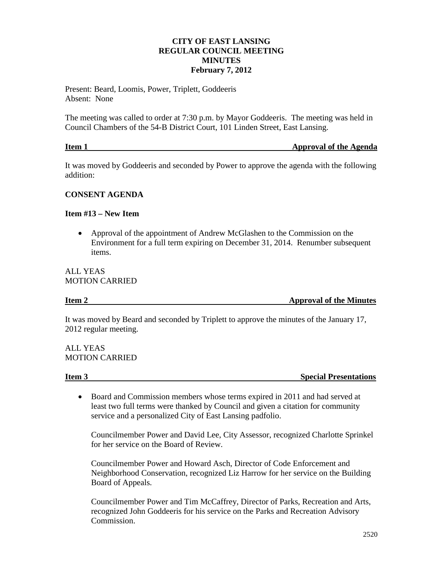# **CITY OF EAST LANSING REGULAR COUNCIL MEETING MINUTES February 7, 2012**

Present: Beard, Loomis, Power, Triplett, Goddeeris Absent: None

The meeting was called to order at 7:30 p.m. by Mayor Goddeeris. The meeting was held in Council Chambers of the 54-B District Court, 101 Linden Street, East Lansing.

| Item 1 | <b>Approval of the Agenda</b> |
|--------|-------------------------------|
|        |                               |

It was moved by Goddeeris and seconded by Power to approve the agenda with the following addition:

# **CONSENT AGENDA**

### **Item #13 – New Item**

• Approval of the appointment of Andrew McGlashen to the Commission on the Environment for a full term expiring on December 31, 2014. Renumber subsequent items.

# ALL YEAS MOTION CARRIED

**Item 2** Approval of the Minutes

It was moved by Beard and seconded by Triplett to approve the minutes of the January 17, 2012 regular meeting.

ALL YEAS MOTION CARRIED

**Item 3** Special Presentations

• Board and Commission members whose terms expired in 2011 and had served at least two full terms were thanked by Council and given a citation for community service and a personalized City of East Lansing padfolio.

Councilmember Power and David Lee, City Assessor, recognized Charlotte Sprinkel for her service on the Board of Review.

Councilmember Power and Howard Asch, Director of Code Enforcement and Neighborhood Conservation, recognized Liz Harrow for her service on the Building Board of Appeals.

Councilmember Power and Tim McCaffrey, Director of Parks, Recreation and Arts, recognized John Goddeeris for his service on the Parks and Recreation Advisory Commission.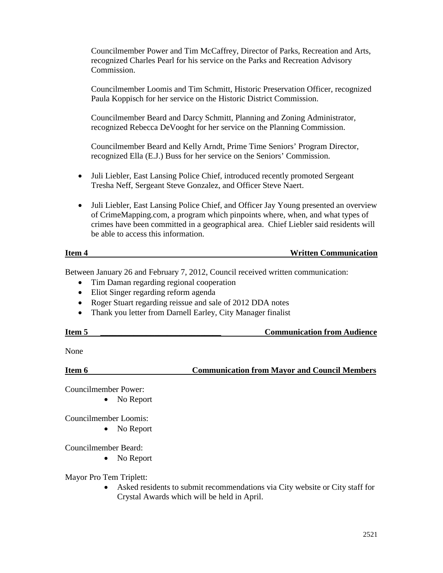Councilmember Power and Tim McCaffrey, Director of Parks, Recreation and Arts, recognized Charles Pearl for his service on the Parks and Recreation Advisory Commission.

Councilmember Loomis and Tim Schmitt, Historic Preservation Officer, recognized Paula Koppisch for her service on the Historic District Commission.

Councilmember Beard and Darcy Schmitt, Planning and Zoning Administrator, recognized Rebecca DeVooght for her service on the Planning Commission.

Councilmember Beard and Kelly Arndt, Prime Time Seniors' Program Director, recognized Ella (E.J.) Buss for her service on the Seniors' Commission.

- Juli Liebler, East Lansing Police Chief, introduced recently promoted Sergeant Tresha Neff, Sergeant Steve Gonzalez, and Officer Steve Naert.
- Juli Liebler, East Lansing Police Chief, and Officer Jay Young presented an overview of CrimeMapping.com, a program which pinpoints where, when, and what types of crimes have been committed in a geographical area. Chief Liebler said residents will be able to access this information.

#### **Item 4 Written Communication**

Between January 26 and February 7, 2012, Council received written communication:

- Tim Daman regarding regional cooperation
- Eliot Singer regarding reform agenda
- Roger Stuart regarding reissue and sale of 2012 DDA notes
- Thank you letter from Darnell Earley, City Manager finalist

| Item ! | <b>Communication from Audience</b> |
|--------|------------------------------------|
|        |                                    |

None

**Item 6 Communication from Mayor and Council Members** 

Councilmember Power:

• No Report

Councilmember Loomis:

• No Report

Councilmember Beard:

• No Report

Mayor Pro Tem Triplett:

• Asked residents to submit recommendations via City website or City staff for Crystal Awards which will be held in April.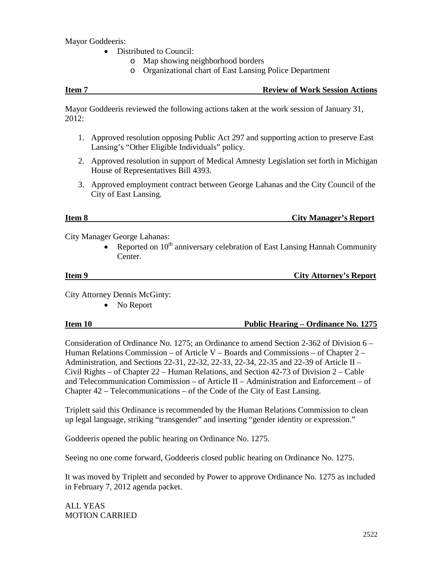Mayor Goddeeris:

- Distributed to Council:
	- o Map showing neighborhood borders
	- o Organizational chart of East Lansing Police Department

#### **Item 7 Review of Work Session Actions**

Mayor Goddeeris reviewed the following actions taken at the work session of January 31, 2012:

- 1. Approved resolution opposing Public Act 297 and supporting action to preserve East Lansing's "Other Eligible Individuals" policy.
- 2. Approved resolution in support of Medical Amnesty Legislation set forth in Michigan House of Representatives Bill 4393.
- 3. Approved employment contract between George Lahanas and the City Council of the City of East Lansing.

# **Item 8 City Manager's Report**

City Manager George Lahanas:

• Reported on  $10^{th}$  anniversary celebration of East Lansing Hannah Community Center.

**Item 9** City Attorney's Report

City Attorney Dennis McGinty:

• No Report

# **Item 10 Public Hearing – Ordinance No. 1275**

Consideration of Ordinance No. 1275; an Ordinance to amend Section 2-362 of Division 6 – Human Relations Commission – of Article V – Boards and Commissions – of Chapter  $2$  – Administration, and Sections 22-31, 22-32, 22-33, 22-34, 22-35 and 22-39 of Article II – Civil Rights – of Chapter 22 – Human Relations, and Section 42-73 of Division 2 – Cable and Telecommunication Commission – of Article II – Administration and Enforcement – of Chapter 42 – Telecommunications – of the Code of the City of East Lansing.

Triplett said this Ordinance is recommended by the Human Relations Commission to clean up legal language, striking "transgender" and inserting "gender identity or expression."

Goddeeris opened the public hearing on Ordinance No. 1275.

Seeing no one come forward, Goddeeris closed public hearing on Ordinance No. 1275.

It was moved by Triplett and seconded by Power to approve Ordinance No. 1275 as included in February 7, 2012 agenda packet.

ALL YEAS MOTION CARRIED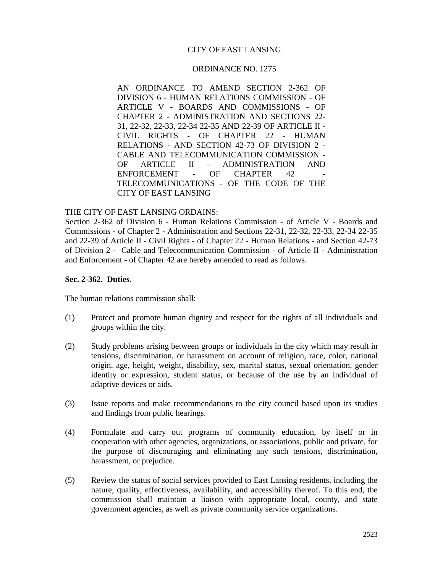# CITY OF EAST LANSING

#### ORDINANCE NO. 1275

AN ORDINANCE TO AMEND SECTION 2-362 OF DIVISION 6 - HUMAN RELATIONS COMMISSION - OF ARTICLE V - BOARDS AND COMMISSIONS - OF CHAPTER 2 - ADMINISTRATION AND SECTIONS 22- 31, 22-32, 22-33, 22-34 22-35 AND 22-39 OF ARTICLE II - CIVIL RIGHTS - OF CHAPTER 22 - HUMAN RELATIONS - AND SECTION 42-73 OF DIVISION 2 - CABLE AND TELECOMMUNICATION COMMISSION - OF ARTICLE II - ADMINISTRATION AND ENFORCEMENT - OF CHAPTER 42 TELECOMMUNICATIONS - OF THE CODE OF THE CITY OF EAST LANSING

#### THE CITY OF EAST LANSING ORDAINS:

Section 2-362 of Division 6 - Human Relations Commission - of Article V - Boards and Commissions - of Chapter 2 - Administration and Sections 22-31, 22-32, 22-33, 22-34 22-35 and 22-39 of Article II - Civil Rights - of Chapter 22 - Human Relations - and Section 42-73 of Division 2 - Cable and Telecommunication Commission - of Article II - Administration and Enforcement - of Chapter 42 are hereby amended to read as follows.

#### **Sec. 2-362. Duties.**

The human relations commission shall:

- (1) Protect and promote human dignity and respect for the rights of all individuals and groups within the city.
- (2) Study problems arising between groups or individuals in the city which may result in tensions, discrimination, or harassment on account of religion, race, color, national origin, age, height, weight, disability, sex, marital status, sexual orientation, gender identity or expression, student status, or because of the use by an individual of adaptive devices or aids.
- (3) Issue reports and make recommendations to the city council based upon its studies and findings from public hearings.
- (4) Formulate and carry out programs of community education, by itself or in cooperation with other agencies, organizations, or associations, public and private, for the purpose of discouraging and eliminating any such tensions, discrimination, harassment, or prejudice.
- (5) Review the status of social services provided to East Lansing residents, including the nature, quality, effectiveness, availability, and accessibility thereof. To this end, the commission shall maintain a liaison with appropriate local, county, and state government agencies, as well as private community service organizations.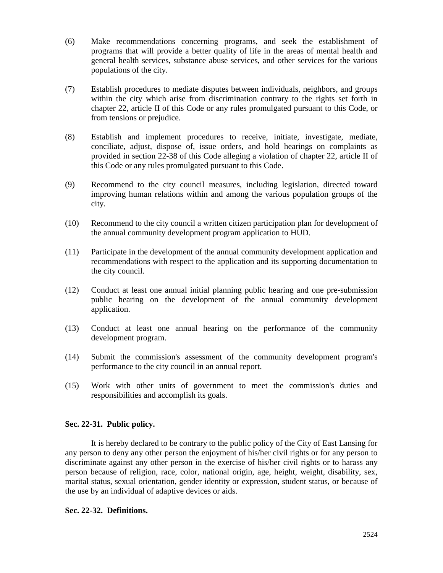- (6) Make recommendations concerning programs, and seek the establishment of programs that will provide a better quality of life in the areas of mental health and general health services, substance abuse services, and other services for the various populations of the city.
- (7) Establish procedures to mediate disputes between individuals, neighbors, and groups within the city which arise from discrimination contrary to the rights set forth in chapter 22, article II of this Code or any rules promulgated pursuant to this Code, or from tensions or prejudice.
- (8) Establish and implement procedures to receive, initiate, investigate, mediate, conciliate, adjust, dispose of, issue orders, and hold hearings on complaints as provided in section 22-38 of this Code alleging a violation of chapter 22, article II of this Code or any rules promulgated pursuant to this Code.
- (9) Recommend to the city council measures, including legislation, directed toward improving human relations within and among the various population groups of the city.
- (10) Recommend to the city council a written citizen participation plan for development of the annual community development program application to HUD.
- (11) Participate in the development of the annual community development application and recommendations with respect to the application and its supporting documentation to the city council.
- (12) Conduct at least one annual initial planning public hearing and one pre-submission public hearing on the development of the annual community development application.
- (13) Conduct at least one annual hearing on the performance of the community development program.
- (14) Submit the commission's assessment of the community development program's performance to the city council in an annual report.
- (15) Work with other units of government to meet the commission's duties and responsibilities and accomplish its goals.

# **Sec. 22-31. Public policy.**

It is hereby declared to be contrary to the public policy of the City of East Lansing for any person to deny any other person the enjoyment of his/her civil rights or for any person to discriminate against any other person in the exercise of his/her civil rights or to harass any person because of religion, race, color, national origin, age, height, weight, disability, sex, marital status, sexual orientation, gender identity or expression, student status, or because of the use by an individual of adaptive devices or aids.

#### **Sec. 22-32. Definitions.**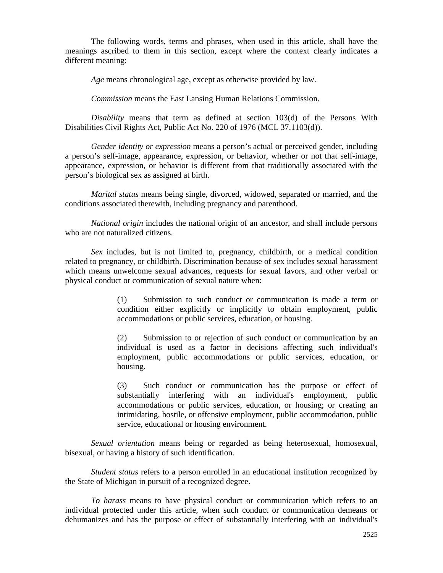The following words, terms and phrases, when used in this article, shall have the meanings ascribed to them in this section, except where the context clearly indicates a different meaning:

*Age* means chronological age, except as otherwise provided by law.

*Commission* means the East Lansing Human Relations Commission.

*Disability* means that term as defined at section 103(d) of the Persons With Disabilities Civil Rights Act, Public Act No. 220 of 1976 (MCL 37.1103(d)).

*Gender identity or expression* means a person's actual or perceived gender, including a person's self-image, appearance, expression, or behavior, whether or not that self-image, appearance, expression, or behavior is different from that traditionally associated with the person's biological sex as assigned at birth.

*Marital status* means being single, divorced, widowed, separated or married, and the conditions associated therewith, including pregnancy and parenthood.

*National origin* includes the national origin of an ancestor, and shall include persons who are not naturalized citizens.

*Sex* includes, but is not limited to, pregnancy, childbirth, or a medical condition related to pregnancy, or childbirth. Discrimination because of sex includes sexual harassment which means unwelcome sexual advances, requests for sexual favors, and other verbal or physical conduct or communication of sexual nature when:

> (1) Submission to such conduct or communication is made a term or condition either explicitly or implicitly to obtain employment, public accommodations or public services, education, or housing.

> (2) Submission to or rejection of such conduct or communication by an individual is used as a factor in decisions affecting such individual's employment, public accommodations or public services, education, or housing.

> (3) Such conduct or communication has the purpose or effect of substantially interfering with an individual's employment, public accommodations or public services, education, or housing; or creating an intimidating, hostile, or offensive employment, public accommodation, public service, educational or housing environment.

*Sexual orientation* means being or regarded as being heterosexual, homosexual, bisexual, or having a history of such identification.

*Student status* refers to a person enrolled in an educational institution recognized by the State of Michigan in pursuit of a recognized degree.

*To harass* means to have physical conduct or communication which refers to an individual protected under this article, when such conduct or communication demeans or dehumanizes and has the purpose or effect of substantially interfering with an individual's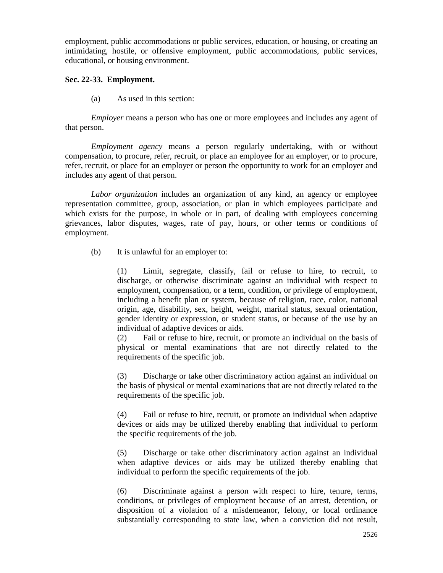employment, public accommodations or public services, education, or housing, or creating an intimidating, hostile, or offensive employment, public accommodations, public services, educational, or housing environment.

# **Sec. 22-33. Employment.**

(a) As used in this section:

*Employer* means a person who has one or more employees and includes any agent of that person.

*Employment agency* means a person regularly undertaking, with or without compensation, to procure, refer, recruit, or place an employee for an employer, or to procure, refer, recruit, or place for an employer or person the opportunity to work for an employer and includes any agent of that person.

*Labor organization* includes an organization of any kind, an agency or employee representation committee, group, association, or plan in which employees participate and which exists for the purpose, in whole or in part, of dealing with employees concerning grievances, labor disputes, wages, rate of pay, hours, or other terms or conditions of employment.

(b) It is unlawful for an employer to:

(1) Limit, segregate, classify, fail or refuse to hire, to recruit, to discharge, or otherwise discriminate against an individual with respect to employment, compensation, or a term, condition, or privilege of employment, including a benefit plan or system, because of religion, race, color, national origin, age, disability, sex, height, weight, marital status, sexual orientation, gender identity or expression, or student status, or because of the use by an individual of adaptive devices or aids.

(2) Fail or refuse to hire, recruit, or promote an individual on the basis of physical or mental examinations that are not directly related to the requirements of the specific job.

(3) Discharge or take other discriminatory action against an individual on the basis of physical or mental examinations that are not directly related to the requirements of the specific job.

(4) Fail or refuse to hire, recruit, or promote an individual when adaptive devices or aids may be utilized thereby enabling that individual to perform the specific requirements of the job.

(5) Discharge or take other discriminatory action against an individual when adaptive devices or aids may be utilized thereby enabling that individual to perform the specific requirements of the job.

(6) Discriminate against a person with respect to hire, tenure, terms, conditions, or privileges of employment because of an arrest, detention, or disposition of a violation of a misdemeanor, felony, or local ordinance substantially corresponding to state law, when a conviction did not result,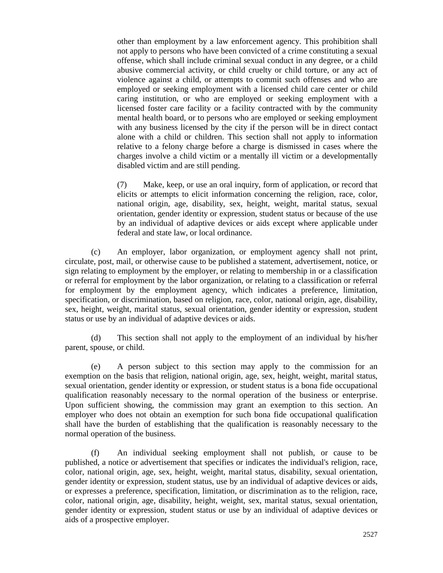other than employment by a law enforcement agency. This prohibition shall not apply to persons who have been convicted of a crime constituting a sexual offense, which shall include criminal sexual conduct in any degree, or a child abusive commercial activity, or child cruelty or child torture, or any act of violence against a child, or attempts to commit such offenses and who are employed or seeking employment with a licensed child care center or child caring institution, or who are employed or seeking employment with a licensed foster care facility or a facility contracted with by the community mental health board, or to persons who are employed or seeking employment with any business licensed by the city if the person will be in direct contact alone with a child or children. This section shall not apply to information relative to a felony charge before a charge is dismissed in cases where the charges involve a child victim or a mentally ill victim or a developmentally disabled victim and are still pending.

(7) Make, keep, or use an oral inquiry, form of application, or record that elicits or attempts to elicit information concerning the religion, race, color, national origin, age, disability, sex, height, weight, marital status, sexual orientation, gender identity or expression, student status or because of the use by an individual of adaptive devices or aids except where applicable under federal and state law, or local ordinance.

(c) An employer, labor organization, or employment agency shall not print, circulate, post, mail, or otherwise cause to be published a statement, advertisement, notice, or sign relating to employment by the employer, or relating to membership in or a classification or referral for employment by the labor organization, or relating to a classification or referral for employment by the employment agency, which indicates a preference, limitation, specification, or discrimination, based on religion, race, color, national origin, age, disability, sex, height, weight, marital status, sexual orientation, gender identity or expression, student status or use by an individual of adaptive devices or aids.

(d) This section shall not apply to the employment of an individual by his/her parent, spouse, or child.

(e) A person subject to this section may apply to the commission for an exemption on the basis that religion, national origin, age, sex, height, weight, marital status, sexual orientation, gender identity or expression, or student status is a bona fide occupational qualification reasonably necessary to the normal operation of the business or enterprise. Upon sufficient showing, the commission may grant an exemption to this section. An employer who does not obtain an exemption for such bona fide occupational qualification shall have the burden of establishing that the qualification is reasonably necessary to the normal operation of the business.

(f) An individual seeking employment shall not publish, or cause to be published, a notice or advertisement that specifies or indicates the individual's religion, race, color, national origin, age, sex, height, weight, marital status, disability, sexual orientation, gender identity or expression, student status, use by an individual of adaptive devices or aids, or expresses a preference, specification, limitation, or discrimination as to the religion, race, color, national origin, age, disability, height, weight, sex, marital status, sexual orientation, gender identity or expression, student status or use by an individual of adaptive devices or aids of a prospective employer.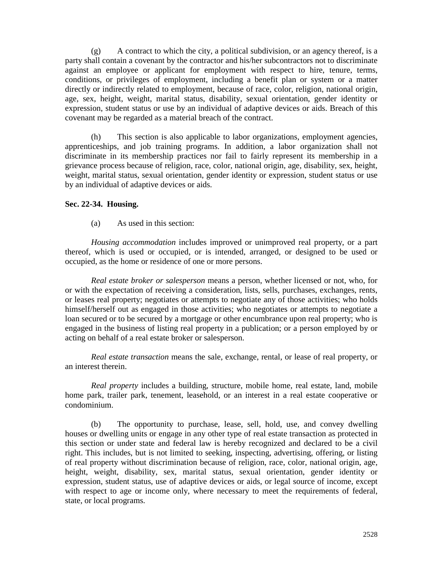$(g)$  A contract to which the city, a political subdivision, or an agency thereof, is a party shall contain a covenant by the contractor and his/her subcontractors not to discriminate against an employee or applicant for employment with respect to hire, tenure, terms, conditions, or privileges of employment, including a benefit plan or system or a matter directly or indirectly related to employment, because of race, color, religion, national origin, age, sex, height, weight, marital status, disability, sexual orientation, gender identity or expression, student status or use by an individual of adaptive devices or aids. Breach of this covenant may be regarded as a material breach of the contract.

(h) This section is also applicable to labor organizations, employment agencies, apprenticeships, and job training programs. In addition, a labor organization shall not discriminate in its membership practices nor fail to fairly represent its membership in a grievance process because of religion, race, color, national origin, age, disability, sex, height, weight, marital status, sexual orientation, gender identity or expression, student status or use by an individual of adaptive devices or aids.

### **Sec. 22-34. Housing.**

(a) As used in this section:

*Housing accommodation* includes improved or unimproved real property, or a part thereof, which is used or occupied, or is intended, arranged, or designed to be used or occupied, as the home or residence of one or more persons.

*Real estate broker or salesperson* means a person, whether licensed or not, who, for or with the expectation of receiving a consideration, lists, sells, purchases, exchanges, rents, or leases real property; negotiates or attempts to negotiate any of those activities; who holds himself/herself out as engaged in those activities; who negotiates or attempts to negotiate a loan secured or to be secured by a mortgage or other encumbrance upon real property; who is engaged in the business of listing real property in a publication; or a person employed by or acting on behalf of a real estate broker or salesperson.

*Real estate transaction* means the sale, exchange, rental, or lease of real property, or an interest therein.

*Real property* includes a building, structure, mobile home, real estate, land, mobile home park, trailer park, tenement, leasehold, or an interest in a real estate cooperative or condominium.

(b) The opportunity to purchase, lease, sell, hold, use, and convey dwelling houses or dwelling units or engage in any other type of real estate transaction as protected in this section or under state and federal law is hereby recognized and declared to be a civil right. This includes, but is not limited to seeking, inspecting, advertising, offering, or listing of real property without discrimination because of religion, race, color, national origin, age, height, weight, disability, sex, marital status, sexual orientation, gender identity or expression, student status, use of adaptive devices or aids, or legal source of income, except with respect to age or income only, where necessary to meet the requirements of federal, state, or local programs.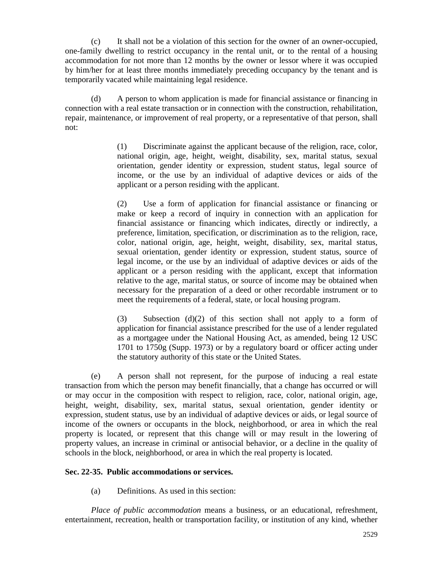(c) It shall not be a violation of this section for the owner of an owner-occupied, one-family dwelling to restrict occupancy in the rental unit, or to the rental of a housing accommodation for not more than 12 months by the owner or lessor where it was occupied by him/her for at least three months immediately preceding occupancy by the tenant and is temporarily vacated while maintaining legal residence.

(d) A person to whom application is made for financial assistance or financing in connection with a real estate transaction or in connection with the construction, rehabilitation, repair, maintenance, or improvement of real property, or a representative of that person, shall not:

> (1) Discriminate against the applicant because of the religion, race, color, national origin, age, height, weight, disability, sex, marital status, sexual orientation, gender identity or expression, student status, legal source of income, or the use by an individual of adaptive devices or aids of the applicant or a person residing with the applicant.

> (2) Use a form of application for financial assistance or financing or make or keep a record of inquiry in connection with an application for financial assistance or financing which indicates, directly or indirectly, a preference, limitation, specification, or discrimination as to the religion, race, color, national origin, age, height, weight, disability, sex, marital status, sexual orientation, gender identity or expression, student status, source of legal income, or the use by an individual of adaptive devices or aids of the applicant or a person residing with the applicant, except that information relative to the age, marital status, or source of income may be obtained when necessary for the preparation of a deed or other recordable instrument or to meet the requirements of a federal, state, or local housing program.

> (3) Subsection (d)(2) of this section shall not apply to a form of application for financial assistance prescribed for the use of a lender regulated as a mortgagee under the National Housing Act, as amended, being 12 USC 1701 to 1750g (Supp. 1973) or by a regulatory board or officer acting under the statutory authority of this state or the United States.

(e) A person shall not represent, for the purpose of inducing a real estate transaction from which the person may benefit financially, that a change has occurred or will or may occur in the composition with respect to religion, race, color, national origin, age, height, weight, disability, sex, marital status, sexual orientation, gender identity or expression, student status, use by an individual of adaptive devices or aids, or legal source of income of the owners or occupants in the block, neighborhood, or area in which the real property is located, or represent that this change will or may result in the lowering of property values, an increase in criminal or antisocial behavior, or a decline in the quality of schools in the block, neighborhood, or area in which the real property is located.

#### **Sec. 22-35. Public accommodations or services.**

(a) Definitions. As used in this section:

*Place of public accommodation* means a business, or an educational, refreshment, entertainment, recreation, health or transportation facility, or institution of any kind, whether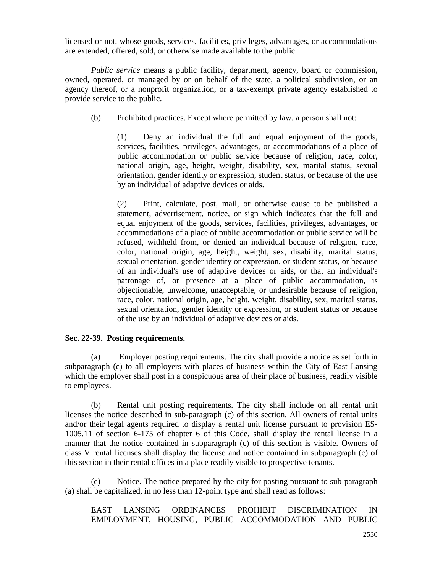licensed or not, whose goods, services, facilities, privileges, advantages, or accommodations are extended, offered, sold, or otherwise made available to the public.

*Public service* means a public facility, department, agency, board or commission, owned, operated, or managed by or on behalf of the state, a political subdivision, or an agency thereof, or a nonprofit organization, or a tax-exempt private agency established to provide service to the public.

(b) Prohibited practices. Except where permitted by law, a person shall not:

(1) Deny an individual the full and equal enjoyment of the goods, services, facilities, privileges, advantages, or accommodations of a place of public accommodation or public service because of religion, race, color, national origin, age, height, weight, disability, sex, marital status, sexual orientation, gender identity or expression, student status, or because of the use by an individual of adaptive devices or aids.

(2) Print, calculate, post, mail, or otherwise cause to be published a statement, advertisement, notice, or sign which indicates that the full and equal enjoyment of the goods, services, facilities, privileges, advantages, or accommodations of a place of public accommodation or public service will be refused, withheld from, or denied an individual because of religion, race, color, national origin, age, height, weight, sex, disability, marital status, sexual orientation, gender identity or expression, or student status, or because of an individual's use of adaptive devices or aids, or that an individual's patronage of, or presence at a place of public accommodation, is objectionable, unwelcome, unacceptable, or undesirable because of religion, race, color, national origin, age, height, weight, disability, sex, marital status, sexual orientation, gender identity or expression, or student status or because of the use by an individual of adaptive devices or aids.

#### **Sec. 22-39. Posting requirements.**

(a) Employer posting requirements. The city shall provide a notice as set forth in subparagraph (c) to all employers with places of business within the City of East Lansing which the employer shall post in a conspicuous area of their place of business, readily visible to employees.

(b) Rental unit posting requirements. The city shall include on all rental unit licenses the notice described in sub-paragraph (c) of this section. All owners of rental units and/or their legal agents required to display a rental unit license pursuant to provision ES-1005.11 of section 6-175 of chapter 6 of this Code, shall display the rental license in a manner that the notice contained in subparagraph (c) of this section is visible. Owners of class V rental licenses shall display the license and notice contained in subparagraph (c) of this section in their rental offices in a place readily visible to prospective tenants.

(c) Notice. The notice prepared by the city for posting pursuant to sub-paragraph (a) shall be capitalized, in no less than 12-point type and shall read as follows:

EAST LANSING ORDINANCES PROHIBIT DISCRIMINATION IN EMPLOYMENT, HOUSING, PUBLIC ACCOMMODATION AND PUBLIC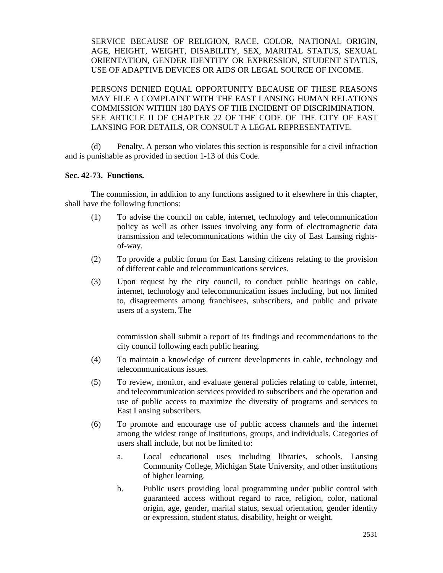SERVICE BECAUSE OF RELIGION, RACE, COLOR, NATIONAL ORIGIN, AGE, HEIGHT, WEIGHT, DISABILITY, SEX, MARITAL STATUS, SEXUAL ORIENTATION, GENDER IDENTITY OR EXPRESSION, STUDENT STATUS, USE OF ADAPTIVE DEVICES OR AIDS OR LEGAL SOURCE OF INCOME.

PERSONS DENIED EQUAL OPPORTUNITY BECAUSE OF THESE REASONS MAY FILE A COMPLAINT WITH THE EAST LANSING HUMAN RELATIONS COMMISSION WITHIN 180 DAYS OF THE INCIDENT OF DISCRIMINATION. SEE ARTICLE II OF CHAPTER 22 OF THE CODE OF THE CITY OF EAST LANSING FOR DETAILS, OR CONSULT A LEGAL REPRESENTATIVE.

(d) Penalty. A person who violates this section is responsible for a civil infraction and is punishable as provided in section 1-13 of this Code.

# **Sec. 42-73. Functions.**

The commission, in addition to any functions assigned to it elsewhere in this chapter, shall have the following functions:

- (1) To advise the council on cable, internet, technology and telecommunication policy as well as other issues involving any form of electromagnetic data transmission and telecommunications within the city of East Lansing rightsof-way.
- (2) To provide a public forum for East Lansing citizens relating to the provision of different cable and telecommunications services.
- (3) Upon request by the city council, to conduct public hearings on cable, internet, technology and telecommunication issues including, but not limited to, disagreements among franchisees, subscribers, and public and private users of a system. The

commission shall submit a report of its findings and recommendations to the city council following each public hearing.

- (4) To maintain a knowledge of current developments in cable, technology and telecommunications issues.
- (5) To review, monitor, and evaluate general policies relating to cable, internet, and telecommunication services provided to subscribers and the operation and use of public access to maximize the diversity of programs and services to East Lansing subscribers.
- (6) To promote and encourage use of public access channels and the internet among the widest range of institutions, groups, and individuals. Categories of users shall include, but not be limited to:
	- a. Local educational uses including libraries, schools, Lansing Community College, Michigan State University, and other institutions of higher learning.
	- b. Public users providing local programming under public control with guaranteed access without regard to race, religion, color, national origin, age, gender, marital status, sexual orientation, gender identity or expression, student status, disability, height or weight.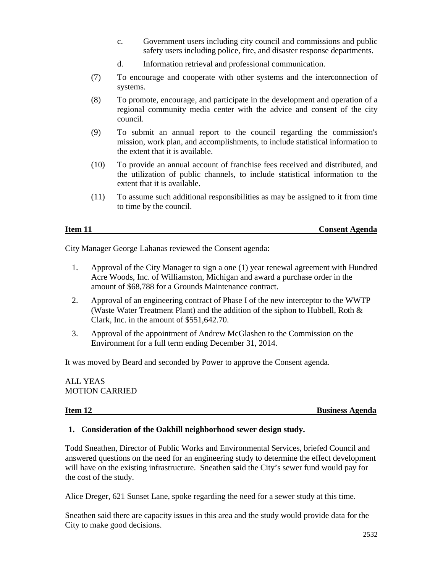- c. Government users including city council and commissions and public safety users including police, fire, and disaster response departments.
- d. Information retrieval and professional communication.
- (7) To encourage and cooperate with other systems and the interconnection of systems.
- (8) To promote, encourage, and participate in the development and operation of a regional community media center with the advice and consent of the city council.
- (9) To submit an annual report to the council regarding the commission's mission, work plan, and accomplishments, to include statistical information to the extent that it is available.
- (10) To provide an annual account of franchise fees received and distributed, and the utilization of public channels, to include statistical information to the extent that it is available.
- (11) To assume such additional responsibilities as may be assigned to it from time to time by the council.

# **Item 11 Consent Agenda**

City Manager George Lahanas reviewed the Consent agenda:

- 1. Approval of the City Manager to sign a one (1) year renewal agreement with Hundred Acre Woods, Inc. of Williamston, Michigan and award a purchase order in the amount of \$68,788 for a Grounds Maintenance contract.
- 2. Approval of an engineering contract of Phase I of the new interceptor to the WWTP (Waste Water Treatment Plant) and the addition of the siphon to Hubbell, Roth & Clark, Inc. in the amount of \$551,642.70.
- 3. Approval of the appointment of Andrew McGlashen to the Commission on the Environment for a full term ending December 31, 2014.

It was moved by Beard and seconded by Power to approve the Consent agenda.

# ALL YEAS MOTION CARRIED

**Item 12** Business Agenda

# **1. Consideration of the Oakhill neighborhood sewer design study.**

Todd Sneathen, Director of Public Works and Environmental Services, briefed Council and answered questions on the need for an engineering study to determine the effect development will have on the existing infrastructure. Sneathen said the City's sewer fund would pay for the cost of the study.

Alice Dreger, 621 Sunset Lane, spoke regarding the need for a sewer study at this time.

Sneathen said there are capacity issues in this area and the study would provide data for the City to make good decisions.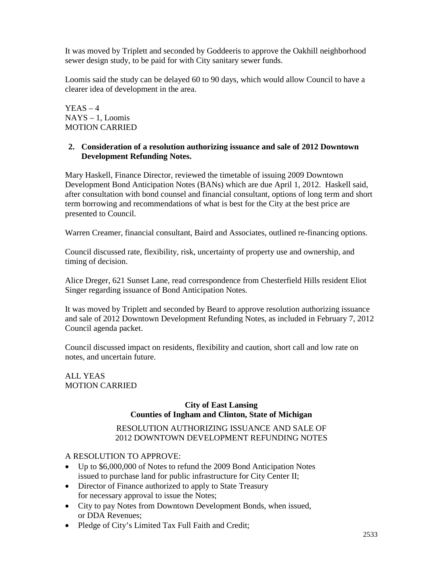It was moved by Triplett and seconded by Goddeeris to approve the Oakhill neighborhood sewer design study, to be paid for with City sanitary sewer funds.

Loomis said the study can be delayed 60 to 90 days, which would allow Council to have a clearer idea of development in the area.

 $YEAS - 4$ NAYS – 1, Loomis MOTION CARRIED

# **2. Consideration of a resolution authorizing issuance and sale of 2012 Downtown Development Refunding Notes.**

Mary Haskell, Finance Director, reviewed the timetable of issuing 2009 Downtown Development Bond Anticipation Notes (BANs) which are due April 1, 2012. Haskell said, after consultation with bond counsel and financial consultant, options of long term and short term borrowing and recommendations of what is best for the City at the best price are presented to Council.

Warren Creamer, financial consultant, Baird and Associates, outlined re-financing options.

Council discussed rate, flexibility, risk, uncertainty of property use and ownership, and timing of decision.

Alice Dreger, 621 Sunset Lane, read correspondence from Chesterfield Hills resident Eliot Singer regarding issuance of Bond Anticipation Notes.

It was moved by Triplett and seconded by Beard to approve resolution authorizing issuance and sale of 2012 Downtown Development Refunding Notes, as included in February 7, 2012 Council agenda packet.

Council discussed impact on residents, flexibility and caution, short call and low rate on notes, and uncertain future.

ALL YEAS MOTION CARRIED

### **City of East Lansing Counties of Ingham and Clinton, State of Michigan**

# RESOLUTION AUTHORIZING ISSUANCE AND SALE OF 2012 DOWNTOWN DEVELOPMENT REFUNDING NOTES

A RESOLUTION TO APPROVE:

- Up to \$6,000,000 of Notes to refund the 2009 Bond Anticipation Notes issued to purchase land for public infrastructure for City Center II;
- Director of Finance authorized to apply to State Treasury for necessary approval to issue the Notes;
- City to pay Notes from Downtown Development Bonds, when issued, or DDA Revenues;
- Pledge of City's Limited Tax Full Faith and Credit;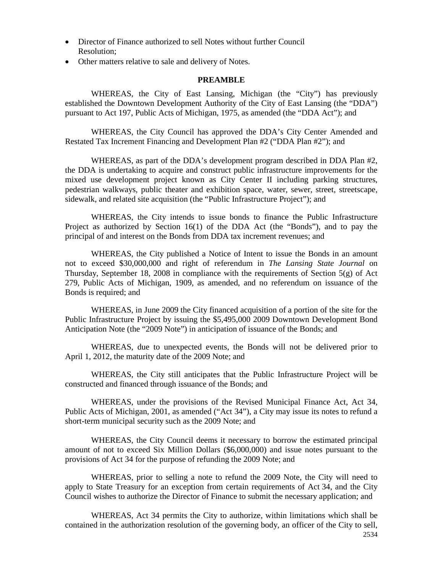- Director of Finance authorized to sell Notes without further Council Resolution;
- Other matters relative to sale and delivery of Notes.

#### **PREAMBLE**

WHEREAS, the City of East Lansing, Michigan (the "City") has previously established the Downtown Development Authority of the City of East Lansing (the "DDA") pursuant to Act 197, Public Acts of Michigan, 1975, as amended (the "DDA Act"); and

WHEREAS, the City Council has approved the DDA's City Center Amended and Restated Tax Increment Financing and Development Plan #2 ("DDA Plan #2"); and

WHEREAS, as part of the DDA's development program described in DDA Plan #2, the DDA is undertaking to acquire and construct public infrastructure improvements for the mixed use development project known as City Center II including parking structures, pedestrian walkways, public theater and exhibition space, water, sewer, street, streetscape, sidewalk, and related site acquisition (the "Public Infrastructure Project"); and

WHEREAS, the City intends to issue bonds to finance the Public Infrastructure Project as authorized by Section 16(1) of the DDA Act (the "Bonds"), and to pay the principal of and interest on the Bonds from DDA tax increment revenues; and

WHEREAS, the City published a Notice of Intent to issue the Bonds in an amount not to exceed \$30,000,000 and right of referendum in *The Lansing State Journal* on Thursday, September 18, 2008 in compliance with the requirements of Section  $5(g)$  of Act 279, Public Acts of Michigan, 1909, as amended, and no referendum on issuance of the Bonds is required; and

WHEREAS, in June 2009 the City financed acquisition of a portion of the site for the Public Infrastructure Project by issuing the \$5,495,000 2009 Downtown Development Bond Anticipation Note (the "2009 Note") in anticipation of issuance of the Bonds; and

WHEREAS, due to unexpected events, the Bonds will not be delivered prior to April 1, 2012, the maturity date of the 2009 Note; and

WHEREAS, the City still anticipates that the Public Infrastructure Project will be constructed and financed through issuance of the Bonds; and

WHEREAS, under the provisions of the Revised Municipal Finance Act, Act 34, Public Acts of Michigan, 2001, as amended ("Act 34"), a City may issue its notes to refund a short-term municipal security such as the 2009 Note; and

WHEREAS, the City Council deems it necessary to borrow the estimated principal amount of not to exceed Six Million Dollars (\$6,000,000) and issue notes pursuant to the provisions of Act 34 for the purpose of refunding the 2009 Note; and

WHEREAS, prior to selling a note to refund the 2009 Note, the City will need to apply to State Treasury for an exception from certain requirements of Act 34, and the City Council wishes to authorize the Director of Finance to submit the necessary application; and

2534 WHEREAS, Act 34 permits the City to authorize, within limitations which shall be contained in the authorization resolution of the governing body, an officer of the City to sell,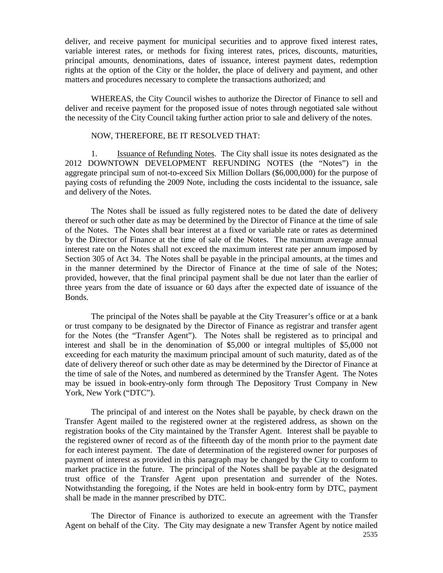deliver, and receive payment for municipal securities and to approve fixed interest rates, variable interest rates, or methods for fixing interest rates, prices, discounts, maturities, principal amounts, denominations, dates of issuance, interest payment dates, redemption rights at the option of the City or the holder, the place of delivery and payment, and other matters and procedures necessary to complete the transactions authorized; and

WHEREAS, the City Council wishes to authorize the Director of Finance to sell and deliver and receive payment for the proposed issue of notes through negotiated sale without the necessity of the City Council taking further action prior to sale and delivery of the notes.

#### NOW, THEREFORE, BE IT RESOLVED THAT:

1. **Issuance of Refunding Notes.** The City shall issue its notes designated as the 2012 DOWNTOWN DEVELOPMENT REFUNDING NOTES (the "Notes") in the aggregate principal sum of not-to-exceed Six Million Dollars (\$6,000,000) for the purpose of paying costs of refunding the 2009 Note, including the costs incidental to the issuance, sale and delivery of the Notes.

The Notes shall be issued as fully registered notes to be dated the date of delivery thereof or such other date as may be determined by the Director of Finance at the time of sale of the Notes. The Notes shall bear interest at a fixed or variable rate or rates as determined by the Director of Finance at the time of sale of the Notes. The maximum average annual interest rate on the Notes shall not exceed the maximum interest rate per annum imposed by Section 305 of Act 34. The Notes shall be payable in the principal amounts, at the times and in the manner determined by the Director of Finance at the time of sale of the Notes; provided, however, that the final principal payment shall be due not later than the earlier of three years from the date of issuance or 60 days after the expected date of issuance of the Bonds.

The principal of the Notes shall be payable at the City Treasurer's office or at a bank or trust company to be designated by the Director of Finance as registrar and transfer agent for the Notes (the "Transfer Agent"). The Notes shall be registered as to principal and interest and shall be in the denomination of \$5,000 or integral multiples of \$5,000 not exceeding for each maturity the maximum principal amount of such maturity, dated as of the date of delivery thereof or such other date as may be determined by the Director of Finance at the time of sale of the Notes, and numbered as determined by the Transfer Agent. The Notes may be issued in book-entry-only form through The Depository Trust Company in New York, New York ("DTC").

The principal of and interest on the Notes shall be payable, by check drawn on the Transfer Agent mailed to the registered owner at the registered address, as shown on the registration books of the City maintained by the Transfer Agent. Interest shall be payable to the registered owner of record as of the fifteenth day of the month prior to the payment date for each interest payment. The date of determination of the registered owner for purposes of payment of interest as provided in this paragraph may be changed by the City to conform to market practice in the future. The principal of the Notes shall be payable at the designated trust office of the Transfer Agent upon presentation and surrender of the Notes. Notwithstanding the foregoing, if the Notes are held in book-entry form by DTC, payment shall be made in the manner prescribed by DTC.

The Director of Finance is authorized to execute an agreement with the Transfer Agent on behalf of the City. The City may designate a new Transfer Agent by notice mailed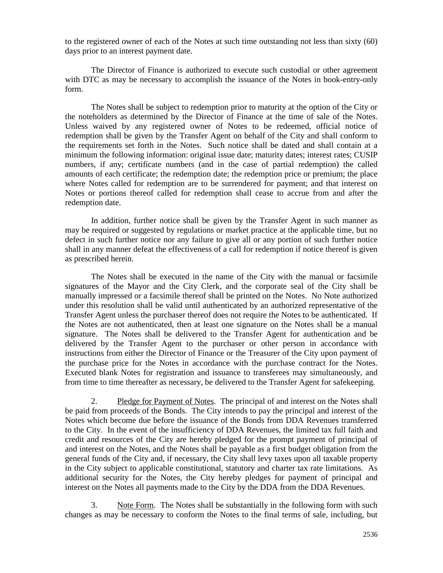to the registered owner of each of the Notes at such time outstanding not less than sixty (60) days prior to an interest payment date.

The Director of Finance is authorized to execute such custodial or other agreement with DTC as may be necessary to accomplish the issuance of the Notes in book-entry-only form.

The Notes shall be subject to redemption prior to maturity at the option of the City or the noteholders as determined by the Director of Finance at the time of sale of the Notes. Unless waived by any registered owner of Notes to be redeemed, official notice of redemption shall be given by the Transfer Agent on behalf of the City and shall conform to the requirements set forth in the Notes. Such notice shall be dated and shall contain at a minimum the following information: original issue date; maturity dates; interest rates; CUSIP numbers, if any; certificate numbers (and in the case of partial redemption) the called amounts of each certificate; the redemption date; the redemption price or premium; the place where Notes called for redemption are to be surrendered for payment; and that interest on Notes or portions thereof called for redemption shall cease to accrue from and after the redemption date.

In addition, further notice shall be given by the Transfer Agent in such manner as may be required or suggested by regulations or market practice at the applicable time, but no defect in such further notice nor any failure to give all or any portion of such further notice shall in any manner defeat the effectiveness of a call for redemption if notice thereof is given as prescribed herein.

The Notes shall be executed in the name of the City with the manual or facsimile signatures of the Mayor and the City Clerk, and the corporate seal of the City shall be manually impressed or a facsimile thereof shall be printed on the Notes. No Note authorized under this resolution shall be valid until authenticated by an authorized representative of the Transfer Agent unless the purchaser thereof does not require the Notes to be authenticated. If the Notes are not authenticated, then at least one signature on the Notes shall be a manual signature. The Notes shall be delivered to the Transfer Agent for authentication and be delivered by the Transfer Agent to the purchaser or other person in accordance with instructions from either the Director of Finance or the Treasurer of the City upon payment of the purchase price for the Notes in accordance with the purchase contract for the Notes. Executed blank Notes for registration and issuance to transferees may simultaneously, and from time to time thereafter as necessary, be delivered to the Transfer Agent for safekeeping.

2. Pledge for Payment of Notes. The principal of and interest on the Notes shall be paid from proceeds of the Bonds. The City intends to pay the principal and interest of the Notes which become due before the issuance of the Bonds from DDA Revenues transferred to the City. In the event of the insufficiency of DDA Revenues, the limited tax full faith and credit and resources of the City are hereby pledged for the prompt payment of principal of and interest on the Notes, and the Notes shall be payable as a first budget obligation from the general funds of the City and, if necessary, the City shall levy taxes upon all taxable property in the City subject to applicable constitutional, statutory and charter tax rate limitations. As additional security for the Notes, the City hereby pledges for payment of principal and interest on the Notes all payments made to the City by the DDA from the DDA Revenues.

3. Note Form. The Notes shall be substantially in the following form with such changes as may be necessary to conform the Notes to the final terms of sale, including, but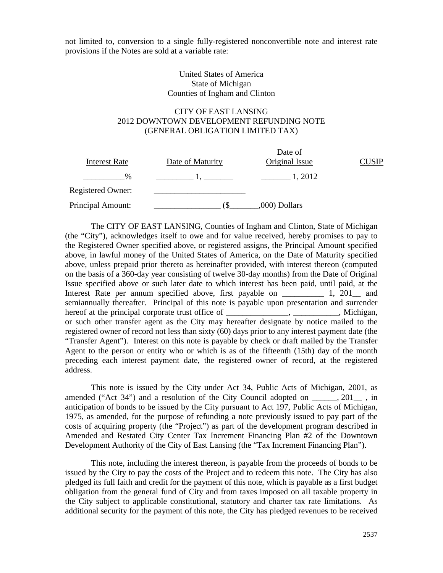not limited to, conversion to a single fully-registered nonconvertible note and interest rate provisions if the Notes are sold at a variable rate:

### United States of America State of Michigan Counties of Ingham and Clinton

# CITY OF EAST LANSING 2012 DOWNTOWN DEVELOPMENT REFUNDING NOTE (GENERAL OBLIGATION LIMITED TAX)

| Interest Rate     | Date of Maturity | Date of<br>Original Issue | SIP |
|-------------------|------------------|---------------------------|-----|
| $\%$              |                  | 1, 2012                   |     |
| Registered Owner: |                  |                           |     |
| Principal Amount: |                  | ,000) Dollars             |     |

The CITY OF EAST LANSING, Counties of Ingham and Clinton, State of Michigan (the "City"), acknowledges itself to owe and for value received, hereby promises to pay to the Registered Owner specified above, or registered assigns, the Principal Amount specified above, in lawful money of the United States of America, on the Date of Maturity specified above, unless prepaid prior thereto as hereinafter provided, with interest thereon (computed on the basis of a 360-day year consisting of twelve 30-day months) from the Date of Original Issue specified above or such later date to which interest has been paid, until paid, at the Interest Rate per annum specified above, first payable on \_\_\_\_\_\_\_\_\_\_\_\_ 1, 201\_\_\_ and semiannually thereafter. Principal of this note is payable upon presentation and surrender hereof at the principal corporate trust office of \_\_\_\_\_\_\_\_\_\_\_\_, \_\_\_\_\_\_\_\_\_, Michigan, or such other transfer agent as the City may hereafter designate by notice mailed to the registered owner of record not less than sixty (60) days prior to any interest payment date (the "Transfer Agent"). Interest on this note is payable by check or draft mailed by the Transfer Agent to the person or entity who or which is as of the fifteenth (15th) day of the month preceding each interest payment date, the registered owner of record, at the registered address.

This note is issued by the City under Act 34, Public Acts of Michigan, 2001, as amended ("Act 34") and a resolution of the City Council adopted on  $\qquad \qquad$ , 201 $\qquad$ , in anticipation of bonds to be issued by the City pursuant to Act 197, Public Acts of Michigan, 1975, as amended, for the purpose of refunding a note previously issued to pay part of the costs of acquiring property (the "Project") as part of the development program described in Amended and Restated City Center Tax Increment Financing Plan #2 of the Downtown Development Authority of the City of East Lansing (the "Tax Increment Financing Plan").

This note, including the interest thereon, is payable from the proceeds of bonds to be issued by the City to pay the costs of the Project and to redeem this note. The City has also pledged its full faith and credit for the payment of this note, which is payable as a first budget obligation from the general fund of City and from taxes imposed on all taxable property in the City subject to applicable constitutional, statutory and charter tax rate limitations. As additional security for the payment of this note, the City has pledged revenues to be received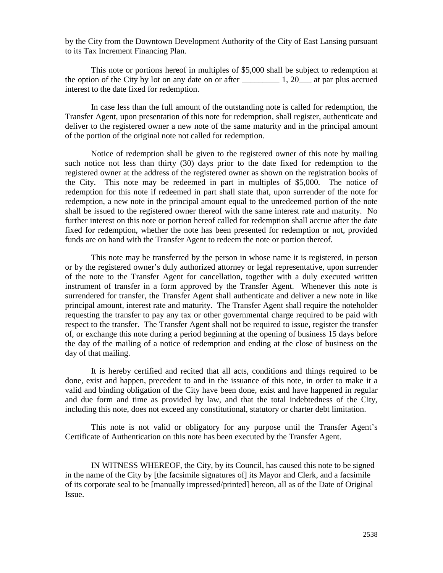by the City from the Downtown Development Authority of the City of East Lansing pursuant to its Tax Increment Financing Plan.

This note or portions hereof in multiples of \$5,000 shall be subject to redemption at the option of the City by lot on any date on or after  $\qquad \qquad$  1, 20\_\_\_ at par plus accrued interest to the date fixed for redemption.

In case less than the full amount of the outstanding note is called for redemption, the Transfer Agent, upon presentation of this note for redemption, shall register, authenticate and deliver to the registered owner a new note of the same maturity and in the principal amount of the portion of the original note not called for redemption.

Notice of redemption shall be given to the registered owner of this note by mailing such notice not less than thirty (30) days prior to the date fixed for redemption to the registered owner at the address of the registered owner as shown on the registration books of the City. This note may be redeemed in part in multiples of \$5,000. The notice of redemption for this note if redeemed in part shall state that, upon surrender of the note for redemption, a new note in the principal amount equal to the unredeemed portion of the note shall be issued to the registered owner thereof with the same interest rate and maturity. No further interest on this note or portion hereof called for redemption shall accrue after the date fixed for redemption, whether the note has been presented for redemption or not, provided funds are on hand with the Transfer Agent to redeem the note or portion thereof.

This note may be transferred by the person in whose name it is registered, in person or by the registered owner's duly authorized attorney or legal representative, upon surrender of the note to the Transfer Agent for cancellation, together with a duly executed written instrument of transfer in a form approved by the Transfer Agent. Whenever this note is surrendered for transfer, the Transfer Agent shall authenticate and deliver a new note in like principal amount, interest rate and maturity. The Transfer Agent shall require the noteholder requesting the transfer to pay any tax or other governmental charge required to be paid with respect to the transfer. The Transfer Agent shall not be required to issue, register the transfer of, or exchange this note during a period beginning at the opening of business 15 days before the day of the mailing of a notice of redemption and ending at the close of business on the day of that mailing.

It is hereby certified and recited that all acts, conditions and things required to be done, exist and happen, precedent to and in the issuance of this note, in order to make it a valid and binding obligation of the City have been done, exist and have happened in regular and due form and time as provided by law, and that the total indebtedness of the City, including this note, does not exceed any constitutional, statutory or charter debt limitation.

This note is not valid or obligatory for any purpose until the Transfer Agent's Certificate of Authentication on this note has been executed by the Transfer Agent.

IN WITNESS WHEREOF, the City, by its Council, has caused this note to be signed in the name of the City by [the facsimile signatures of] its Mayor and Clerk, and a facsimile of its corporate seal to be [manually impressed/printed] hereon, all as of the Date of Original Issue.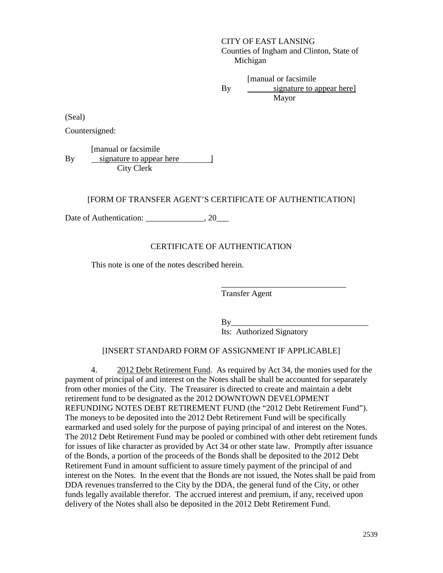CITY OF EAST LANSING Counties of Ingham and Clinton, State of Michigan

[manual or facsimile By Mayor signature to appear here]

(Seal)

Countersigned:

[manual or facsimile By City Clerk signature to appear here  $\qquad$  ]

# [FORM OF TRANSFER AGENT'S CERTIFICATE OF AUTHENTICATION]

Date of Authentication: 20

#### CERTIFICATE OF AUTHENTICATION

This note is one of the notes described herein.

Transfer Agent

 $By_$ Its: Authorized Signatory

\_\_\_\_\_\_\_\_\_\_\_\_\_\_\_\_\_\_\_\_\_\_\_\_\_\_\_\_\_\_

#### [INSERT STANDARD FORM OF ASSIGNMENT IF APPLICABLE]

4. 2012 Debt Retirement Fund. As required by Act 34, the monies used for the payment of principal of and interest on the Notes shall be shall be accounted for separately from other monies of the City. The Treasurer is directed to create and maintain a debt retirement fund to be designated as the 2012 DOWNTOWN DEVELOPMENT REFUNDING NOTES DEBT RETIREMENT FUND (the "2012 Debt Retirement Fund"). The moneys to be deposited into the 2012 Debt Retirement Fund will be specifically earmarked and used solely for the purpose of paying principal of and interest on the Notes. The 2012 Debt Retirement Fund may be pooled or combined with other debt retirement funds for issues of like character as provided by Act 34 or other state law. Promptly after issuance of the Bonds, a portion of the proceeds of the Bonds shall be deposited to the 2012 Debt Retirement Fund in amount sufficient to assure timely payment of the principal of and interest on the Notes. In the event that the Bonds are not issued, the Notes shall be paid from DDA revenues transferred to the City by the DDA, the general fund of the City, or other funds legally available therefor. The accrued interest and premium, if any, received upon delivery of the Notes shall also be deposited in the 2012 Debt Retirement Fund.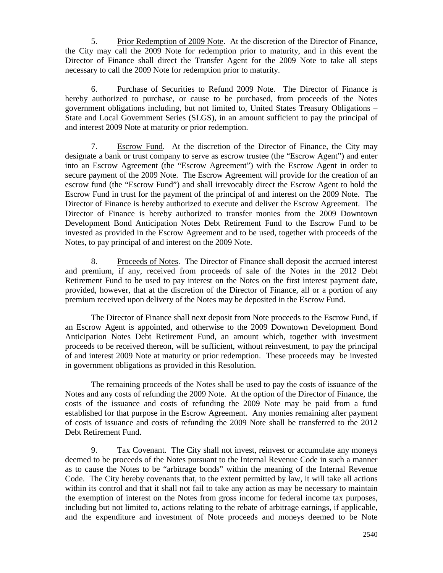5. Prior Redemption of 2009 Note. At the discretion of the Director of Finance, the City may call the 2009 Note for redemption prior to maturity, and in this event the Director of Finance shall direct the Transfer Agent for the 2009 Note to take all steps necessary to call the 2009 Note for redemption prior to maturity.

6. Purchase of Securities to Refund 2009 Note. The Director of Finance is hereby authorized to purchase, or cause to be purchased, from proceeds of the Notes government obligations including, but not limited to, United States Treasury Obligations – State and Local Government Series (SLGS), in an amount sufficient to pay the principal of and interest 2009 Note at maturity or prior redemption.

7. Escrow Fund. At the discretion of the Director of Finance, the City may designate a bank or trust company to serve as escrow trustee (the "Escrow Agent") and enter into an Escrow Agreement (the "Escrow Agreement") with the Escrow Agent in order to secure payment of the 2009 Note. The Escrow Agreement will provide for the creation of an escrow fund (the "Escrow Fund") and shall irrevocably direct the Escrow Agent to hold the Escrow Fund in trust for the payment of the principal of and interest on the 2009 Note. The Director of Finance is hereby authorized to execute and deliver the Escrow Agreement. The Director of Finance is hereby authorized to transfer monies from the 2009 Downtown Development Bond Anticipation Notes Debt Retirement Fund to the Escrow Fund to be invested as provided in the Escrow Agreement and to be used, together with proceeds of the Notes, to pay principal of and interest on the 2009 Note.

8. Proceeds of Notes. The Director of Finance shall deposit the accrued interest and premium, if any, received from proceeds of sale of the Notes in the 2012 Debt Retirement Fund to be used to pay interest on the Notes on the first interest payment date, provided, however, that at the discretion of the Director of Finance, all or a portion of any premium received upon delivery of the Notes may be deposited in the Escrow Fund.

The Director of Finance shall next deposit from Note proceeds to the Escrow Fund, if an Escrow Agent is appointed, and otherwise to the 2009 Downtown Development Bond Anticipation Notes Debt Retirement Fund, an amount which, together with investment proceeds to be received thereon, will be sufficient, without reinvestment, to pay the principal of and interest 2009 Note at maturity or prior redemption. These proceeds may be invested in government obligations as provided in this Resolution.

The remaining proceeds of the Notes shall be used to pay the costs of issuance of the Notes and any costs of refunding the 2009 Note. At the option of the Director of Finance, the costs of the issuance and costs of refunding the 2009 Note may be paid from a fund established for that purpose in the Escrow Agreement. Any monies remaining after payment of costs of issuance and costs of refunding the 2009 Note shall be transferred to the 2012 Debt Retirement Fund.

9. Tax Covenant. The City shall not invest, reinvest or accumulate any moneys deemed to be proceeds of the Notes pursuant to the Internal Revenue Code in such a manner as to cause the Notes to be "arbitrage bonds" within the meaning of the Internal Revenue Code. The City hereby covenants that, to the extent permitted by law, it will take all actions within its control and that it shall not fail to take any action as may be necessary to maintain the exemption of interest on the Notes from gross income for federal income tax purposes, including but not limited to, actions relating to the rebate of arbitrage earnings, if applicable, and the expenditure and investment of Note proceeds and moneys deemed to be Note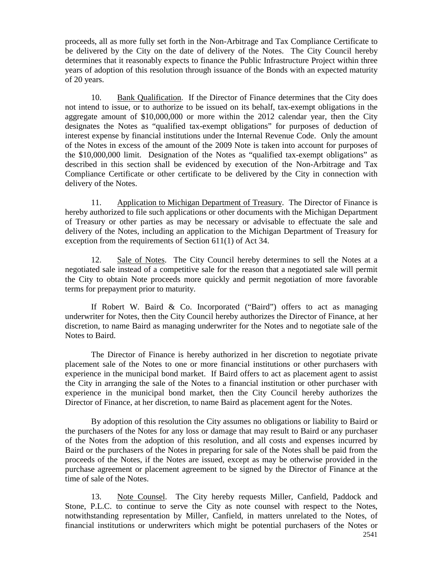proceeds, all as more fully set forth in the Non-Arbitrage and Tax Compliance Certificate to be delivered by the City on the date of delivery of the Notes. The City Council hereby determines that it reasonably expects to finance the Public Infrastructure Project within three years of adoption of this resolution through issuance of the Bonds with an expected maturity of 20 years.

10. Bank Qualification. If the Director of Finance determines that the City does not intend to issue, or to authorize to be issued on its behalf, tax-exempt obligations in the aggregate amount of \$10,000,000 or more within the 2012 calendar year, then the City designates the Notes as "qualified tax-exempt obligations" for purposes of deduction of interest expense by financial institutions under the Internal Revenue Code. Only the amount of the Notes in excess of the amount of the 2009 Note is taken into account for purposes of the \$10,000,000 limit. Designation of the Notes as "qualified tax-exempt obligations" as described in this section shall be evidenced by execution of the Non-Arbitrage and Tax Compliance Certificate or other certificate to be delivered by the City in connection with delivery of the Notes.

11. Application to Michigan Department of Treasury. The Director of Finance is hereby authorized to file such applications or other documents with the Michigan Department of Treasury or other parties as may be necessary or advisable to effectuate the sale and delivery of the Notes, including an application to the Michigan Department of Treasury for exception from the requirements of Section 611(1) of Act 34.

12. Sale of Notes. The City Council hereby determines to sell the Notes at a negotiated sale instead of a competitive sale for the reason that a negotiated sale will permit the City to obtain Note proceeds more quickly and permit negotiation of more favorable terms for prepayment prior to maturity.

If Robert W. Baird & Co. Incorporated ("Baird") offers to act as managing underwriter for Notes, then the City Council hereby authorizes the Director of Finance, at her discretion, to name Baird as managing underwriter for the Notes and to negotiate sale of the Notes to Baird.

The Director of Finance is hereby authorized in her discretion to negotiate private placement sale of the Notes to one or more financial institutions or other purchasers with experience in the municipal bond market. If Baird offers to act as placement agent to assist the City in arranging the sale of the Notes to a financial institution or other purchaser with experience in the municipal bond market, then the City Council hereby authorizes the Director of Finance, at her discretion, to name Baird as placement agent for the Notes.

By adoption of this resolution the City assumes no obligations or liability to Baird or the purchasers of the Notes for any loss or damage that may result to Baird or any purchaser of the Notes from the adoption of this resolution, and all costs and expenses incurred by Baird or the purchasers of the Notes in preparing for sale of the Notes shall be paid from the proceeds of the Notes, if the Notes are issued, except as may be otherwise provided in the purchase agreement or placement agreement to be signed by the Director of Finance at the time of sale of the Notes.

13. Note Counsel. The City hereby requests Miller, Canfield, Paddock and Stone, P.L.C. to continue to serve the City as note counsel with respect to the Notes, notwithstanding representation by Miller, Canfield, in matters unrelated to the Notes, of financial institutions or underwriters which might be potential purchasers of the Notes or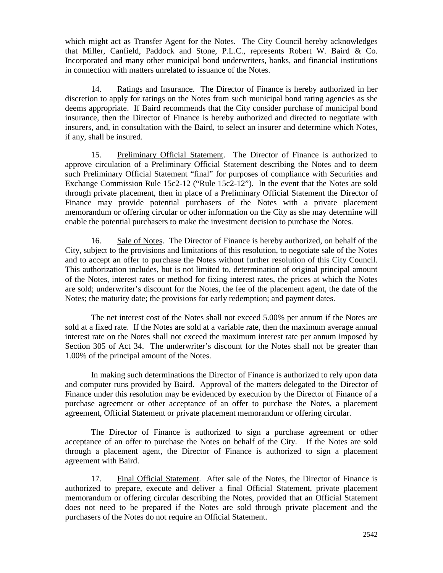which might act as Transfer Agent for the Notes. The City Council hereby acknowledges that Miller, Canfield, Paddock and Stone, P.L.C., represents Robert W. Baird & Co. Incorporated and many other municipal bond underwriters, banks, and financial institutions in connection with matters unrelated to issuance of the Notes.

14. Ratings and Insurance. The Director of Finance is hereby authorized in her discretion to apply for ratings on the Notes from such municipal bond rating agencies as she deems appropriate. If Baird recommends that the City consider purchase of municipal bond insurance, then the Director of Finance is hereby authorized and directed to negotiate with insurers, and, in consultation with the Baird, to select an insurer and determine which Notes, if any, shall be insured.

15. Preliminary Official Statement. The Director of Finance is authorized to approve circulation of a Preliminary Official Statement describing the Notes and to deem such Preliminary Official Statement "final" for purposes of compliance with Securities and Exchange Commission Rule 15c2-12 ("Rule 15c2-12"). In the event that the Notes are sold through private placement, then in place of a Preliminary Official Statement the Director of Finance may provide potential purchasers of the Notes with a private placement memorandum or offering circular or other information on the City as she may determine will enable the potential purchasers to make the investment decision to purchase the Notes.

16. Sale of Notes. The Director of Finance is hereby authorized, on behalf of the City, subject to the provisions and limitations of this resolution, to negotiate sale of the Notes and to accept an offer to purchase the Notes without further resolution of this City Council. This authorization includes, but is not limited to, determination of original principal amount of the Notes, interest rates or method for fixing interest rates, the prices at which the Notes are sold; underwriter's discount for the Notes, the fee of the placement agent, the date of the Notes; the maturity date; the provisions for early redemption; and payment dates.

The net interest cost of the Notes shall not exceed 5.00% per annum if the Notes are sold at a fixed rate. If the Notes are sold at a variable rate, then the maximum average annual interest rate on the Notes shall not exceed the maximum interest rate per annum imposed by Section 305 of Act 34. The underwriter's discount for the Notes shall not be greater than 1.00% of the principal amount of the Notes.

In making such determinations the Director of Finance is authorized to rely upon data and computer runs provided by Baird. Approval of the matters delegated to the Director of Finance under this resolution may be evidenced by execution by the Director of Finance of a purchase agreement or other acceptance of an offer to purchase the Notes, a placement agreement, Official Statement or private placement memorandum or offering circular.

The Director of Finance is authorized to sign a purchase agreement or other acceptance of an offer to purchase the Notes on behalf of the City. If the Notes are sold through a placement agent, the Director of Finance is authorized to sign a placement agreement with Baird.

17. Final Official Statement. After sale of the Notes, the Director of Finance is authorized to prepare, execute and deliver a final Official Statement, private placement memorandum or offering circular describing the Notes, provided that an Official Statement does not need to be prepared if the Notes are sold through private placement and the purchasers of the Notes do not require an Official Statement.